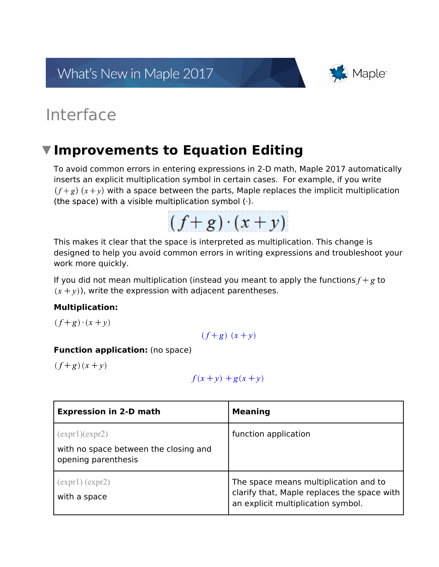What's New in Maple 2017



# Interface

## **Improvements to Equation Editing**

To avoid common errors in entering expressions in 2-D math, Maple 2017 automatically inserts an explicit multiplication symbol in certain cases. For example, if you write  $(f+g)(x+y)$  with a space between the parts, Maple replaces the implicit multiplication (the space) with a visible multiplication symbol (.).



This makes it clear that the space is interpreted as multiplication. This change is designed to help you avoid common errors in writing expressions and troubleshoot your work more quickly.

If you did not mean multiplication (instead you meant to apply the functions  $f + g$  to  $(x + y)$ ), write the expression with adjacent parentheses.

#### **Multiplication:**

 $(f+g)\cdot(x+y)$ 

$$
(f+g)(x+y)
$$

#### **Function application:** (no space)

 $(f+g)(x+y)$ 

$$
f(x+y) + g(x+y)
$$

| <b>Expression in 2-D math</b>                                                 | <b>Meaning</b>                                                                                                             |
|-------------------------------------------------------------------------------|----------------------------------------------------------------------------------------------------------------------------|
| (exp1)(expr2)<br>with no space between the closing and<br>opening parenthesis | function application                                                                                                       |
| (exp1)(exp2)<br>with a space                                                  | The space means multiplication and to<br>clarify that, Maple replaces the space with<br>an explicit multiplication symbol. |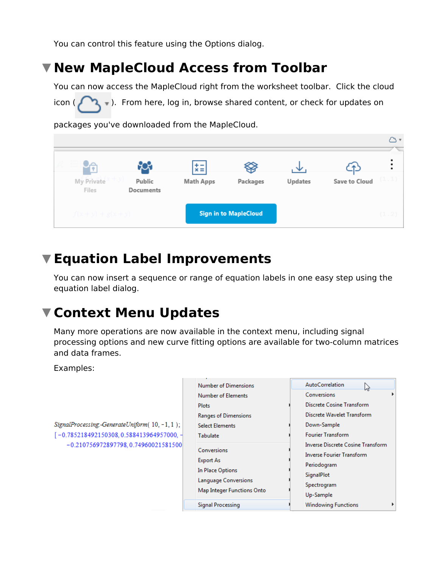You can control this feature using the Options dialog.

# **New MapleCloud Access from Toolbar**

You can now access the MapleCloud right from the worksheet toolbar. Click the cloud icon ( $\Box$ ). From here, log in, browse shared content, or check for updates on

packages you've downloaded from the MapleCloud.



# **Equation Label Improvements**

You can now insert a sequence or range of equation labels in one easy step using the equation label dialog.

## **Context Menu Updates**

Many more operations are now available in the context menu, including signal processing options and new curve fitting options are available for two-column matrices and data frames.

Examples:

SignalProcessing.-GenerateUniform(10,-1,1);  $[-0.785218492150308, 0.588413964957000, -0.210756972897798, 0.74960021581500$ 

| <b>Number of Dimensions</b>                         | <b>AutoCorrelation</b>                                                                             |
|-----------------------------------------------------|----------------------------------------------------------------------------------------------------|
| Number of Elements                                  | Conversions                                                                                        |
| <b>Plots</b>                                        | Discrete Cosine Transform                                                                          |
| Ranges of Dimensions                                | Discrete Wavelet Transform                                                                         |
| <b>Select Elements</b>                              | Down-Sample                                                                                        |
| Tabulate                                            | <b>Fourier Transform</b>                                                                           |
| Conversions<br><b>Export As</b><br>In Place Options | Inverse Discrete Cosine Transform<br><b>Inverse Fourier Transform</b><br>Periodogram<br>SignalPlot |
| Language Conversions<br>Map Integer Functions Onto  | Spectrogram<br>Up-Sample                                                                           |
| Signal Processing                                   | <b>Windowing Functions</b>                                                                         |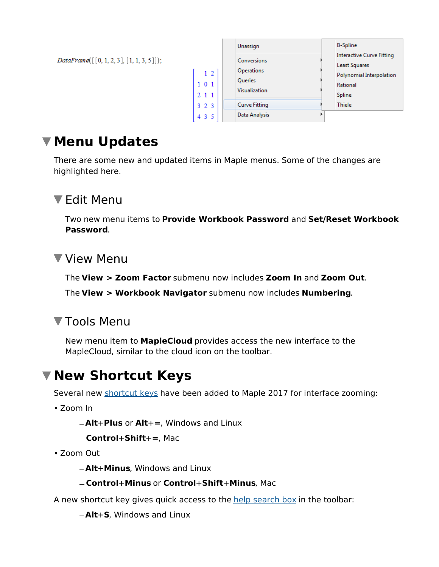$DataFrame([[0, 1, 2, 3], [1, 1, 3, 5]]);$ 

|                              | Unassign                                              | <b>B-Spline</b>                                                                                            |
|------------------------------|-------------------------------------------------------|------------------------------------------------------------------------------------------------------------|
| 1 <sub>2</sub><br>101<br>211 | Conversions<br>Operations<br>Queries<br>Visualization | <b>Interactive Curve Fitting</b><br><b>Least Squares</b><br>Polynomial Interpolation<br>Rational<br>Spline |
| 323<br>4 3 5                 | <b>Curve Fitting</b><br>Data Analysis                 | <b>Thiele</b>                                                                                              |

### **Menu Updates**

There are some new and updated items in Maple menus. Some of the changes are highlighted here.

#### Edit Menu

Two new menu items to **Provide Workbook Password** and **Set/Reset Workbook Password**.

#### View Menu

The **View > Zoom Factor** submenu now includes **Zoom In** and **Zoom Out**.

The **View > Workbook Navigator** submenu now includes **Numbering**.

#### ▼ Tools Menu

New menu item to **MapleCloud** provides access the new interface to the MapleCloud, similar to the cloud icon on the toolbar.

## **New Shortcut Keys**

Several new shortcut keys have been added to Maple 2017 for interface zooming:

Zoom In

**Alt**+**Plus** or **Alt**+**=**, Windows and Linux

```
Control+Shift+=, Mac
```
Zoom Out

**Alt**+**Minus**, Windows and Linux

#### **Control**+**Minus** or **Control**+**Shift**+**Minus**, Mac

A new shortcut key gives quick access to the help search box in the toolbar:

**Alt**+**S**, Windows and Linux